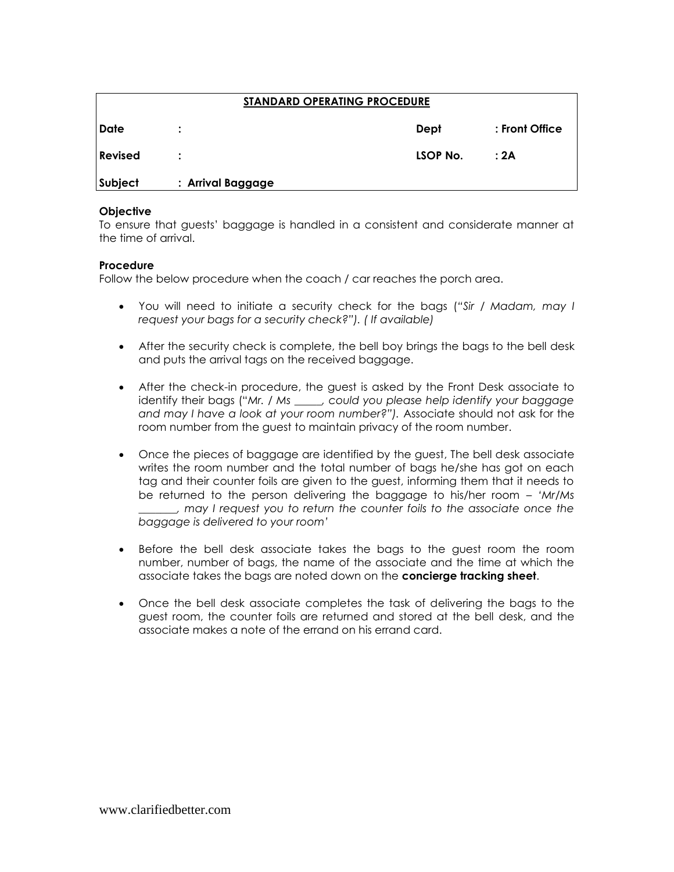| <b>STANDARD OPERATING PROCEDURE</b> |                   |          |                |  |
|-------------------------------------|-------------------|----------|----------------|--|
| Date                                |                   | Dept     | : Front Office |  |
| <b>Revised</b>                      |                   | LSOP No. | : 2A           |  |
| Subject                             | : Arrival Baggage |          |                |  |

## **Objective**

To ensure that guests' baggage is handled in a consistent and considerate manner at the time of arrival.

## **Procedure**

Follow the below procedure when the coach / car reaches the porch area.

- You will need to initiate a security check for the bags (*"Sir / Madam, may I request your bags for a security check?"). ( If available)*
- After the security check is complete, the bell boy brings the bags to the bell desk and puts the arrival tags on the received baggage.
- After the check-in procedure, the guest is asked by the Front Desk associate to identify their bags ("*Mr. / Ms \_\_\_\_\_, could you please help identify your baggage and may I have a look at your room number?").* Associate should not ask for the room number from the guest to maintain privacy of the room number.
- Once the pieces of baggage are identified by the guest, The bell desk associate writes the room number and the total number of bags he/she has got on each tag and their counter foils are given to the guest, informing them that it needs to be returned to the person delivering the baggage to his/her room – *"Mr/Ms \_\_\_\_\_\_\_, may I request you to return the counter foils to the associate once the baggage is delivered to your room"*
- Before the bell desk associate takes the bags to the guest room the room number, number of bags, the name of the associate and the time at which the associate takes the bags are noted down on the **concierge tracking sheet**.
- Once the bell desk associate completes the task of delivering the bags to the guest room, the counter foils are returned and stored at the bell desk, and the associate makes a note of the errand on his errand card.